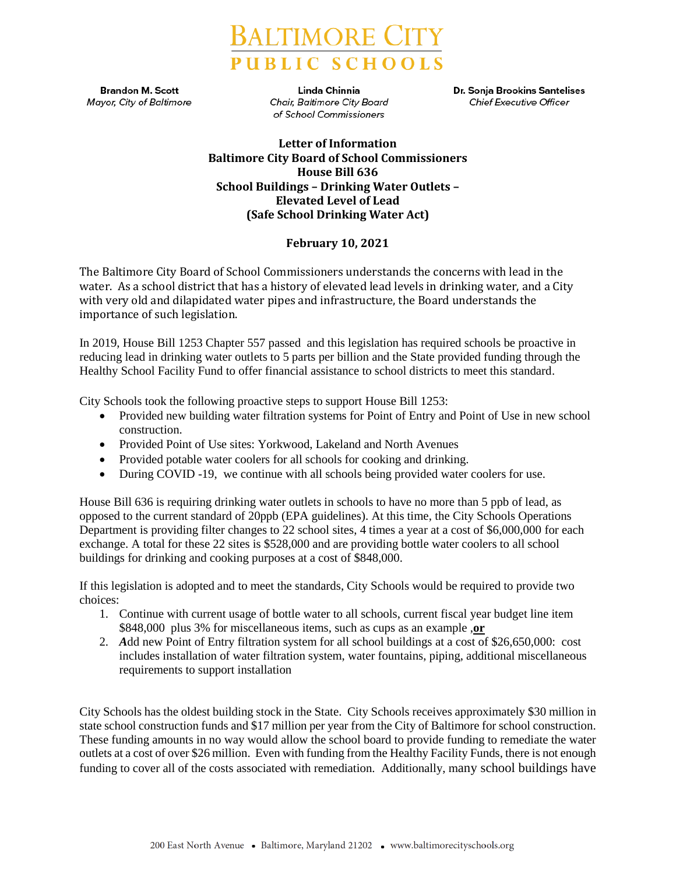

**Brandon M. Scott Mayor, City of Baltimore** 

Linda Chinnia **Chair, Baltimore City Board** of School Commissioners

Dr. Sonja Brookins Santelises **Chief Executive Officer** 

## **Letter of Information Baltimore City Board of School Commissioners House Bill 636 School Buildings – Drinking Water Outlets – Elevated Level of Lead (Safe School Drinking Water Act)**

## **February 10, 2021**

The Baltimore City Board of School Commissioners understands the concerns with lead in the water. As a school district that has a history of elevated lead levels in drinking water, and a City with very old and dilapidated water pipes and infrastructure, the Board understands the importance of such legislation.

In 2019, House Bill 1253 Chapter 557 passed and this legislation has required schools be proactive in reducing lead in drinking water outlets to 5 parts per billion and the State provided funding through the Healthy School Facility Fund to offer financial assistance to school districts to meet this standard.

City Schools took the following proactive steps to support House Bill 1253:

- Provided new building water filtration systems for Point of Entry and Point of Use in new school construction.
- Provided Point of Use sites: Yorkwood, Lakeland and North Avenues
- Provided potable water coolers for all schools for cooking and drinking.
- During COVID -19, we continue with all schools being provided water coolers for use.

House Bill 636 is requiring drinking water outlets in schools to have no more than 5 ppb of lead, as opposed to the current standard of 20ppb (EPA guidelines). At this time, the City Schools Operations Department is providing filter changes to 22 school sites, 4 times a year at a cost of \$6,000,000 for each exchange. A total for these 22 sites is \$528,000 and are providing bottle water coolers to all school buildings for drinking and cooking purposes at a cost of \$848,000.

If this legislation is adopted and to meet the standards, City Schools would be required to provide two choices:

- 1. Continue with current usage of bottle water to all schools, current fiscal year budget line item \$848,000 plus 3% for miscellaneous items, such as cups as an example ,**or**
- 2. *A*dd new Point of Entry filtration system for all school buildings at a cost of \$26,650,000: cost includes installation of water filtration system, water fountains, piping, additional miscellaneous requirements to support installation

City Schools has the oldest building stock in the State. City Schools receives approximately \$30 million in state school construction funds and \$17 million per year from the City of Baltimore for school construction. These funding amounts in no way would allow the school board to provide funding to remediate the water outlets at a cost of over \$26 million. Even with funding from the Healthy Facility Funds, there is not enough funding to cover all of the costs associated with remediation. Additionally, many school buildings have